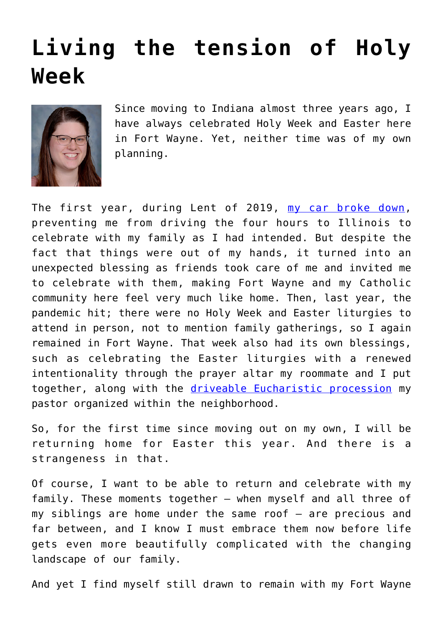## **[Living the tension of Holy](https://www.osvnews.com/2021/03/16/living-the-tension-of-holy-week/) [Week](https://www.osvnews.com/2021/03/16/living-the-tension-of-holy-week/)**



Since moving to Indiana almost three years ago, I have always celebrated Holy Week and Easter here in Fort Wayne. Yet, neither time was of my own planning.

The first year, during Lent of 2019, [my car broke down,](https://radiantmagazine.com/2020/03/04/my-agony-in-the-garden/) preventing me from driving the four hours to Illinois to celebrate with my family as I had intended. But despite the fact that things were out of my hands, it turned into an unexpected blessing as friends took care of me and invited me to celebrate with them, making Fort Wayne and my Catholic community here feel very much like home. Then, last year, the pandemic hit; there were no Holy Week and Easter liturgies to attend in person, not to mention family gatherings, so I again remained in Fort Wayne. That week also had its own blessings, such as celebrating the Easter liturgies with a renewed intentionality through the prayer altar my roommate and I put together, along with the [driveable Eucharistic procession](https://osvnews.com/2020/04/13/jesus-always-comes-to-us-even-in-unlikely-ways/) my pastor organized within the neighborhood.

So, for the first time since moving out on my own, I will be returning home for Easter this year. And there is a strangeness in that.

Of course, I want to be able to return and celebrate with my family. These moments together — when myself and all three of my siblings are home under the same roof — are precious and far between, and I know I must embrace them now before life gets even more beautifully complicated with the changing landscape of our family.

And yet I find myself still drawn to remain with my Fort Wayne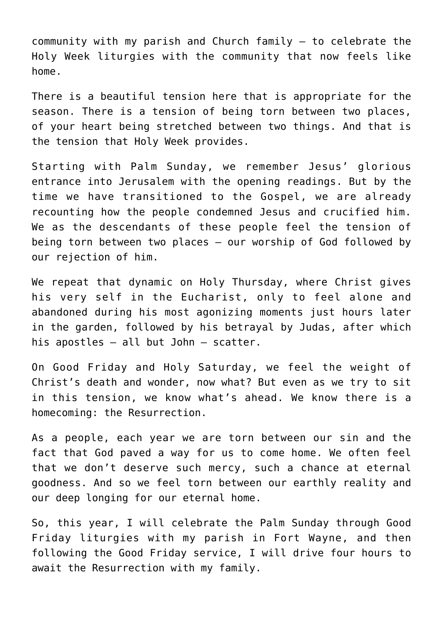community with my parish and Church family — to celebrate the Holy Week liturgies with the community that now feels like home.

There is a beautiful tension here that is appropriate for the season. There is a tension of being torn between two places, of your heart being stretched between two things. And that is the tension that Holy Week provides.

Starting with Palm Sunday, we remember Jesus' glorious entrance into Jerusalem with the opening readings. But by the time we have transitioned to the Gospel, we are already recounting how the people condemned Jesus and crucified him. We as the descendants of these people feel the tension of being torn between two places — our worship of God followed by our rejection of him.

We repeat that dynamic on Holy Thursday, where Christ gives his very self in the Eucharist, only to feel alone and abandoned during his most agonizing moments just hours later in the garden, followed by his betrayal by Judas, after which his apostles — all but John — scatter.

On Good Friday and Holy Saturday, we feel the weight of Christ's death and wonder, now what? But even as we try to sit in this tension, we know what's ahead. We know there is a homecoming: the Resurrection.

As a people, each year we are torn between our sin and the fact that God paved a way for us to come home. We often feel that we don't deserve such mercy, such a chance at eternal goodness. And so we feel torn between our earthly reality and our deep longing for our eternal home.

So, this year, I will celebrate the Palm Sunday through Good Friday liturgies with my parish in Fort Wayne, and then following the Good Friday service, I will drive four hours to await the Resurrection with my family.